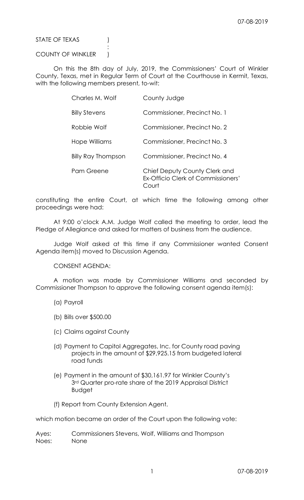STATE OF TEXAS (1)

COUNTY OF WINKLER )

**Service State State State State** 

 On this the 8th day of July, 2019, the Commissioners' Court of Winkler County, Texas, met in Regular Term of Court at the Courthouse in Kermit, Texas, with the following members present, to-wit:

| Charles M. Wolf      | County Judge                                                                 |
|----------------------|------------------------------------------------------------------------------|
| <b>Billy Stevens</b> | Commissioner, Precinct No. 1                                                 |
| Robbie Wolf          | Commissioner, Precinct No. 2                                                 |
| Hope Williams        | Commissioner, Precinct No. 3                                                 |
| Billy Ray Thompson   | Commissioner, Precinct No. 4                                                 |
| Pam Greene           | Chief Deputy County Clerk and<br>Ex-Officio Clerk of Commissioners'<br>Court |

constituting the entire Court, at which time the following among other proceedings were had:

 At 9:00 o'clock A.M. Judge Wolf called the meeting to order, lead the Pledge of Allegiance and asked for matters of business from the audience.

 Judge Wolf asked at this time if any Commissioner wanted Consent Agenda item(s) moved to Discussion Agenda.

CONSENT AGENDA:

 A motion was made by Commissioner Williams and seconded by Commissioner Thompson to approve the following consent agenda item(s):

- (a) Payroll
- (b) Bills over \$500.00
- (c) Claims against County
- (d) Payment to Capitol Aggregates, Inc. for County road paving projects in the amount of \$29,925.15 from budgeted lateral road funds
- (e) Payment in the amount of \$30,161.97 for Winkler County's 3rd Quarter pro-rate share of the 2019 Appraisal District Budget
- (f) Report from County Extension Agent.

which motion became an order of the Court upon the following vote:

Ayes: Commissioners Stevens, Wolf, Williams and Thompson Noes: None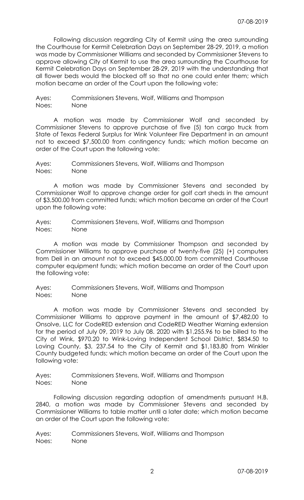Following discussion regarding City of Kermit using the area surrounding the Courthouse for Kermit Celebration Days on September 28-29, 2019, a motion was made by Commissioner Williams and seconded by Commissioner Stevens to approve allowing City of Kermit to use the area surrounding the Courthouse for Kermit Celebration Days on September 28-29, 2019 with the understanding that all flower beds would the blocked off so that no one could enter them; which motion became an order of the Court upon the following vote:

Ayes: Commissioners Stevens, Wolf, Williams and Thompson Noes: None

 A motion was made by Commissioner Wolf and seconded by Commissioner Stevens to approve purchase of five (5) ton cargo truck from State of Texas Federal Surplus for Wink Volunteer Fire Department in an amount not to exceed \$7,500.00 from contingency funds; which motion became an order of the Court upon the following vote:

Ayes: Commissioners Stevens, Wolf, Williams and Thompson Noes: None

 A motion was made by Commissioner Stevens and seconded by Commissioner Wolf to approve change order for golf cart sheds in the amount of \$3,500.00 from committed funds; which motion became an order of the Court upon the following vote:

Ayes: Commissioners Stevens, Wolf, Williams and Thompson Noes: None

 A motion was made by Commissioner Thompson and seconded by Commissioner Williams to approve purchase of twenty-five (25) (+) computers from Dell in an amount not to exceed \$45,000.00 from committed Courthouse computer equipment funds; which motion became an order of the Court upon the following vote:

Ayes: Commissioners Stevens, Wolf, Williams and Thompson Noes: None

 A motion was made by Commissioner Stevens and seconded by Commissioner Williams to approve payment in the amount of \$7,482.00 to Onsolve, LLC for CodeRED extension and CodeRED Weather Warning extension for the period of July 09, 2019 to July 08. 2020 with \$1,255.96 to be billed to the City of Wink, \$970.20 to Wink-Loving Independent School District, \$834.50 to Loving County, \$3, 237.54 to the City of Kermit and \$1,183.80 from Winkler County budgeted funds; which motion became an order of the Court upon the following vote:

Ayes: Commissioners Stevens, Wolf, Williams and Thompson Noes: None

 Following discussion regarding adoption of amendments pursuant H.B. 2840, a motion was made by Commissioner Stevens and seconded by Commissioner Williams to table matter until a later date; which motion became an order of the Court upon the following vote:

Ayes: Commissioners Stevens, Wolf, Williams and Thompson Noes: None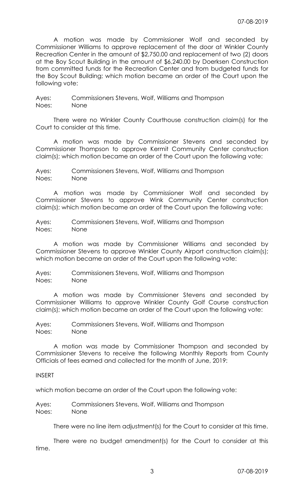A motion was made by Commissioner Wolf and seconded by Commissioner Williams to approve replacement of the door at Winkler County Recreation Center in the amount of \$2,750.00 and replacement of two (2) doors at the Boy Scout Building in the amount of \$6,240.00 by Doerksen Construction from committed funds for the Recreation Center and from budgeted funds for the Boy Scout Building; which motion became an order of the Court upon the following vote:

Ayes: Commissioners Stevens, Wolf, Williams and Thompson Noes: None

 There were no Winkler County Courthouse construction claim(s) for the Court to consider at this time.

 A motion was made by Commissioner Stevens and seconded by Commissioner Thompson to approve Kermit Community Center construction claim(s); which motion became an order of the Court upon the following vote:

Ayes: Commissioners Stevens, Wolf, Williams and Thompson Noes: None

 A motion was made by Commissioner Wolf and seconded by Commissioner Stevens to approve Wink Community Center construction claim(s); which motion became an order of the Court upon the following vote:

Ayes: Commissioners Stevens, Wolf, Williams and Thompson Noes: None

 A motion was made by Commissioner Williams and seconded by Commissioner Stevens to approve Winkler County Airport construction claim(s); which motion became an order of the Court upon the following vote:

Ayes: Commissioners Stevens, Wolf, Williams and Thompson Noes: None

 A motion was made by Commissioner Stevens and seconded by Commissioner Williams to approve Winkler County Golf Course construction claim(s); which motion became an order of the Court upon the following vote:

Ayes: Commissioners Stevens, Wolf, Williams and Thompson Noes: None

 A motion was made by Commissioner Thompson and seconded by Commissioner Stevens to receive the following Monthly Reports from County Officials of fees earned and collected for the month of June, 2019:

## INSERT

which motion became an order of the Court upon the following vote:

Ayes: Commissioners Stevens, Wolf, Williams and Thompson Noes: None

There were no line item adjustment(s) for the Court to consider at this time.

 There were no budget amendment(s) for the Court to consider at this time.